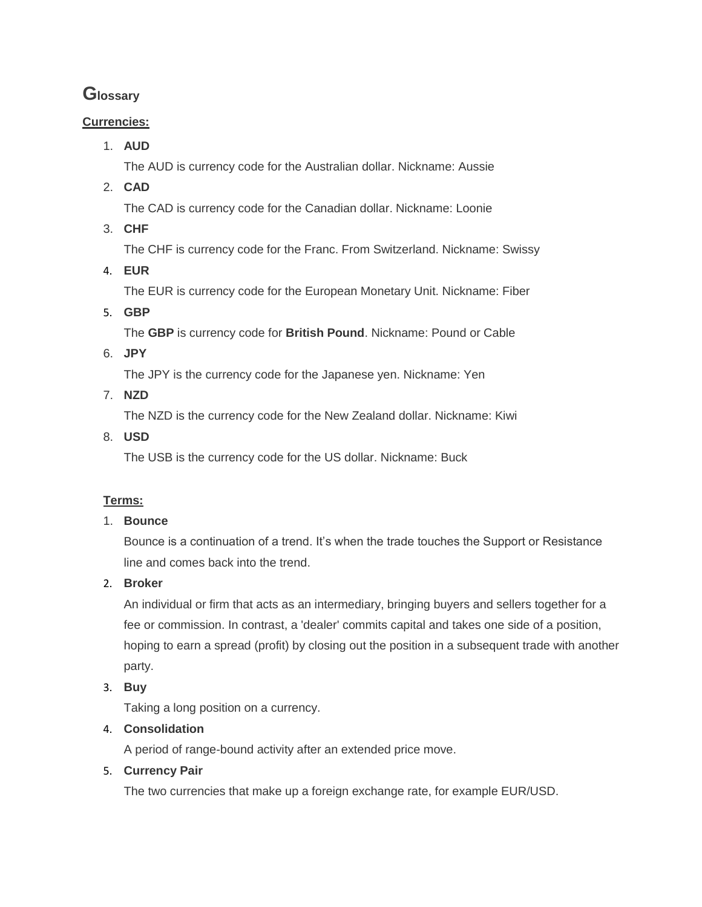# **Glossary**

# **Currencies:**

1. **AUD**

The AUD is currency code for the Australian dollar. Nickname: Aussie

2. **CAD**

The CAD is currency code for the Canadian dollar. Nickname: Loonie

3. **CHF**

The CHF is currency code for the Franc. From Switzerland. Nickname: Swissy

4. **EUR** 

The EUR is currency code for the European Monetary Unit. Nickname: Fiber

5. **GBP**

The **GBP** is currency code for **British Pound**. Nickname: Pound or Cable

6. **JPY**

The JPY is the currency code for the Japanese yen. Nickname: Yen

7. **NZD**

The NZD is the currency code for the New Zealand dollar. Nickname: Kiwi

8. **USD**

The USB is the currency code for the US dollar. Nickname: Buck

# **Terms:**

# 1. **Bounce**

Bounce is a continuation of a trend. It's when the trade touches the Support or Resistance line and comes back into the trend.

2. **Broker**

An individual or firm that acts as an intermediary, bringing buyers and sellers together for a fee or commission. In contrast, a 'dealer' commits capital and takes one side of a position, hoping to earn a spread (profit) by closing out the position in a subsequent trade with another party.

3. **Buy**

Taking a long position on a currency.

# 4. **Consolidation**

A period of range-bound activity after an extended price move.

# 5. **Currency Pair**

The two currencies that make up a foreign exchange rate, for example EUR/USD.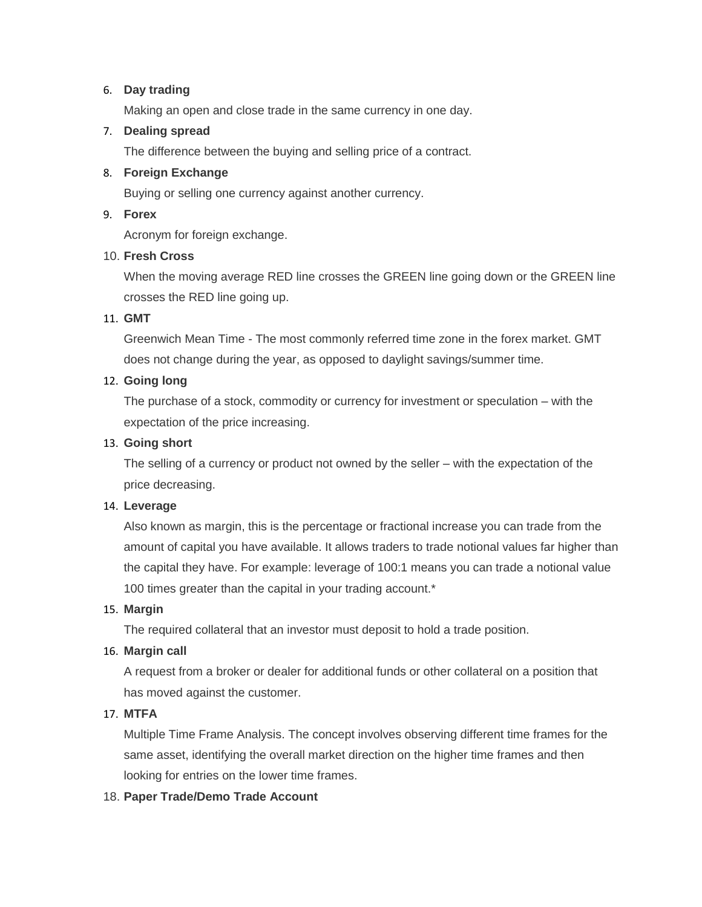#### 6. **Day trading**

Making an open and close trade in the same currency in one day.

### 7. **Dealing spread**

The difference between the buying and selling price of a contract.

#### 8. **Foreign Exchange**

Buying or selling one currency against another currency.

#### 9. **Forex**

Acronym for foreign exchange.

#### 10. **Fresh Cross**

When the moving average RED line crosses the GREEN line going down or the GREEN line crosses the RED line going up.

#### 11. **GMT**

Greenwich Mean Time - The most commonly referred time zone in the forex market. GMT does not change during the year, as opposed to daylight savings/summer time.

#### 12. **Going long**

The purchase of a stock, commodity or currency for investment or speculation – with the expectation of the price increasing.

#### 13. **Going short**

The selling of a currency or product not owned by the seller – with the expectation of the price decreasing.

#### 14. **Leverage**

Also known as margin, this is the percentage or fractional increase you can trade from the amount of capital you have available. It allows traders to trade notional values far higher than the capital they have. For example: leverage of 100:1 means you can trade a notional value 100 times greater than the capital in your trading account.\*

#### 15. **Margin**

The required collateral that an investor must deposit to hold a trade position.

#### 16. **Margin call**

A request from a broker or dealer for additional funds or other collateral on a position that has moved against the customer.

#### 17. **MTFA**

Multiple Time Frame Analysis. The concept involves observing different time frames for the same asset, identifying the overall market direction on the higher time frames and then looking for entries on the lower time frames.

#### 18. **Paper Trade/Demo Trade Account**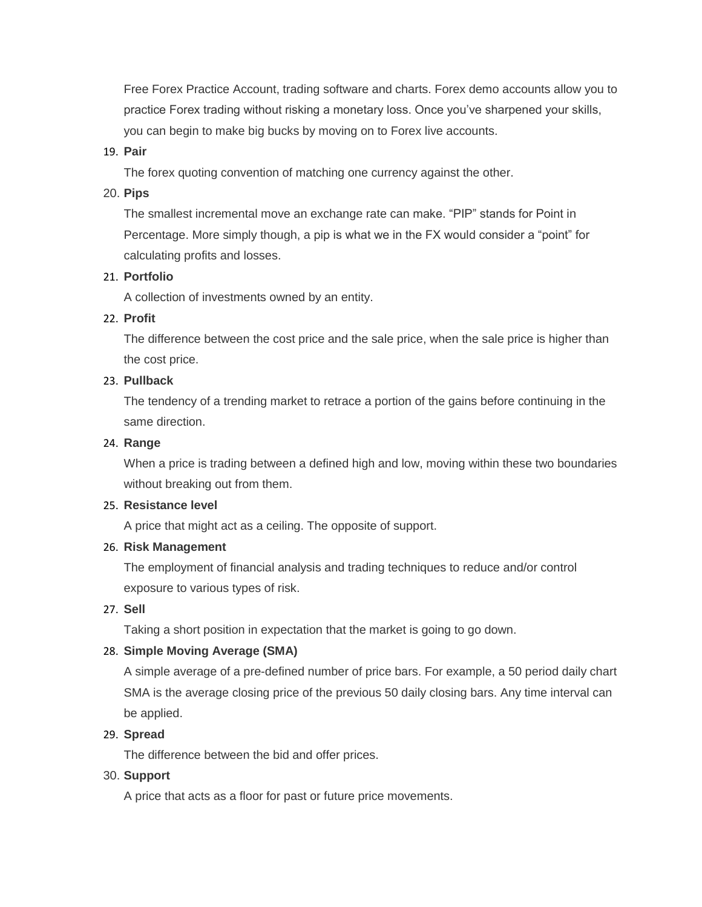Free Forex Practice Account, trading software and charts. Forex demo accounts allow you to practice Forex trading without risking a monetary loss. Once you've sharpened your skills, you can begin to make big bucks by moving on to Forex live accounts.

#### 19. **Pair**

The forex quoting convention of matching one currency against the other.

#### 20. **Pips**

The smallest incremental move an exchange rate can make. "PIP" stands for Point in Percentage. More simply though, a pip is what we in the FX would consider a "point" for calculating profits and losses.

#### 21. **Portfolio**

A collection of investments owned by an entity.

#### 22. **Profit**

The difference between the cost price and the sale price, when the sale price is higher than the cost price.

#### 23. **Pullback**

The tendency of a trending market to retrace a portion of the gains before continuing in the same direction.

#### 24. **Range**

When a price is trading between a defined high and low, moving within these two boundaries without breaking out from them.

#### 25. **Resistance level**

A price that might act as a ceiling. The opposite of support.

#### 26. **Risk Management**

The employment of financial analysis and trading techniques to reduce and/or control exposure to various types of risk.

### 27. **Sell**

Taking a short position in expectation that the market is going to go down.

### 28. **Simple Moving Average (SMA)**

A simple average of a pre-defined number of price bars. For example, a 50 period daily chart SMA is the average closing price of the previous 50 daily closing bars. Any time interval can be applied.

#### 29. **Spread**

The difference between the bid and offer prices.

#### 30. **Support**

A price that acts as a floor for past or future price movements.